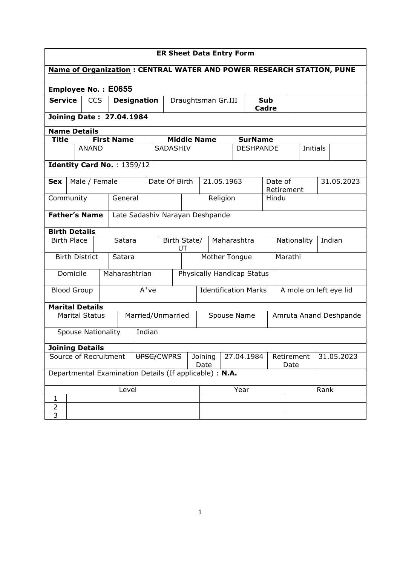| <b>ER Sheet Data Entry Form</b>                                                                          |                                 |                           |            |                   |                            |         |                    |                          |      |                                 |                                                       |                  |       |                       |          |        |                        |
|----------------------------------------------------------------------------------------------------------|---------------------------------|---------------------------|------------|-------------------|----------------------------|---------|--------------------|--------------------------|------|---------------------------------|-------------------------------------------------------|------------------|-------|-----------------------|----------|--------|------------------------|
| <b>Name of Organization: CENTRAL WATER AND POWER RESEARCH STATION, PUNE</b>                              |                                 |                           |            |                   |                            |         |                    |                          |      |                                 |                                                       |                  |       |                       |          |        |                        |
| <b>Employee No.: E0655</b>                                                                               |                                 |                           |            |                   |                            |         |                    |                          |      |                                 |                                                       |                  |       |                       |          |        |                        |
| <b>Service</b>                                                                                           |                                 |                           | <b>CCS</b> |                   | <b>Designation</b>         |         |                    |                          |      | Draughtsman Gr.III              | <b>Sub</b><br>Cadre                                   |                  |       |                       |          |        |                        |
|                                                                                                          | <b>Joining Date: 27.04.1984</b> |                           |            |                   |                            |         |                    |                          |      |                                 |                                                       |                  |       |                       |          |        |                        |
|                                                                                                          | <b>Name Details</b>             |                           |            |                   |                            |         |                    |                          |      |                                 |                                                       |                  |       |                       |          |        |                        |
| <b>Title</b>                                                                                             |                                 |                           |            | <b>First Name</b> |                            |         |                    | <b>Middle Name</b>       |      |                                 |                                                       | <b>SurName</b>   |       |                       |          |        |                        |
|                                                                                                          |                                 | <b>ANAND</b>              |            |                   |                            |         | SADASHIV           |                          |      |                                 |                                                       | <b>DESHPANDE</b> |       |                       | Initials |        |                        |
|                                                                                                          |                                 |                           |            |                   | Identity Card No.: 1359/12 |         |                    |                          |      |                                 |                                                       |                  |       |                       |          |        |                        |
| <b>Sex</b>                                                                                               |                                 | Male / Female             |            |                   |                            |         | Date Of Birth      |                          |      | 21.05.1963                      |                                                       |                  |       | Date of<br>Retirement |          |        | 31.05.2023             |
| Community                                                                                                |                                 |                           |            |                   | General                    |         |                    |                          |      | Religion                        |                                                       |                  | Hindu |                       |          |        |                        |
| <b>Father's Name</b>                                                                                     |                                 |                           |            |                   |                            |         |                    |                          |      | Late Sadashiv Narayan Deshpande |                                                       |                  |       |                       |          |        |                        |
| <b>Birth Details</b>                                                                                     |                                 |                           |            |                   |                            |         |                    |                          |      |                                 |                                                       |                  |       |                       |          |        |                        |
| <b>Birth Place</b>                                                                                       |                                 |                           |            |                   | Satara                     |         | Birth State/<br>UT |                          |      |                                 |                                                       | Maharashtra      |       | Nationality           |          | Indian |                        |
|                                                                                                          |                                 | <b>Birth District</b>     |            | Satara            |                            |         |                    | Mother Tongue<br>Marathi |      |                                 |                                                       |                  |       |                       |          |        |                        |
|                                                                                                          | Domicile                        |                           |            |                   | Maharashtrian              |         |                    |                          |      | Physically Handicap Status      |                                                       |                  |       |                       |          |        |                        |
| <b>Blood Group</b>                                                                                       |                                 |                           |            |                   |                            | $A^+ve$ |                    |                          |      |                                 | <b>Identification Marks</b><br>A mole on left eye lid |                  |       |                       |          |        |                        |
| <b>Marital Details</b>                                                                                   |                                 |                           |            |                   |                            |         |                    |                          |      |                                 |                                                       |                  |       |                       |          |        |                        |
|                                                                                                          |                                 | <b>Marital Status</b>     |            |                   | Married/Unmarried          |         |                    |                          |      | Spouse Name                     |                                                       |                  |       |                       |          |        | Amruta Anand Deshpande |
|                                                                                                          |                                 | <b>Spouse Nationality</b> |            |                   |                            | Indian  |                    |                          |      |                                 |                                                       |                  |       |                       |          |        |                        |
| <b>Joining Details</b>                                                                                   |                                 |                           |            |                   |                            |         |                    |                          |      |                                 |                                                       |                  |       |                       |          |        |                        |
| Source of Recruitment<br>UPSC/CWPRS<br>27.04.1984<br>31.05.2023<br>Joining<br>Retirement<br>Date<br>Date |                                 |                           |            |                   |                            |         |                    |                          |      |                                 |                                                       |                  |       |                       |          |        |                        |
| Departmental Examination Details (If applicable) : N.A.                                                  |                                 |                           |            |                   |                            |         |                    |                          |      |                                 |                                                       |                  |       |                       |          |        |                        |
| Level                                                                                                    |                                 |                           |            |                   |                            |         |                    |                          | Year |                                 |                                                       | Rank             |       |                       |          |        |                        |
| $\mathbf{1}$                                                                                             |                                 |                           |            |                   |                            |         |                    |                          |      |                                 |                                                       |                  |       |                       |          |        |                        |
| $\overline{2}$                                                                                           |                                 |                           |            |                   |                            |         |                    |                          |      |                                 |                                                       |                  |       |                       |          |        |                        |
| 3                                                                                                        |                                 |                           |            |                   |                            |         |                    |                          |      |                                 |                                                       |                  |       |                       |          |        |                        |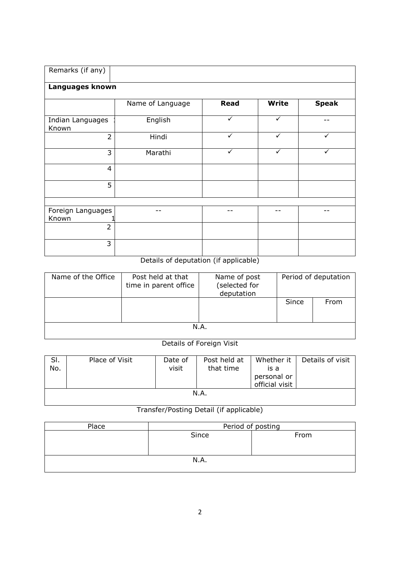| Remarks (if any)           |                  |              |              |              |
|----------------------------|------------------|--------------|--------------|--------------|
| Languages known            |                  |              |              |              |
|                            | Name of Language | <b>Read</b>  | <b>Write</b> | <b>Speak</b> |
| Indian Languages<br>Known  | English          | $\checkmark$ | ✓            |              |
| $\overline{2}$             | Hindi            | $\checkmark$ | $\checkmark$ | $\checkmark$ |
| 3                          | Marathi          | $\checkmark$ | $\checkmark$ | $\checkmark$ |
| $\overline{4}$             |                  |              |              |              |
| 5                          |                  |              |              |              |
|                            |                  |              |              |              |
| Foreign Languages<br>Known |                  |              |              |              |
| $\overline{2}$             |                  |              |              |              |
| 3                          |                  |              |              |              |

## Details of deputation (if applicable)

| Name of the Office | Post held at that<br>time in parent office | Name of post<br>(selected for<br>deputation | Period of deputation |      |  |  |  |
|--------------------|--------------------------------------------|---------------------------------------------|----------------------|------|--|--|--|
|                    |                                            |                                             | Since                | From |  |  |  |
| N.A.               |                                            |                                             |                      |      |  |  |  |

## Details of Foreign Visit

| SI.<br>No. | Place of Visit | Date of<br>visit | Post held at<br>that time | Whether it<br>is a<br>personal or<br>official visit | Details of visit |  |  |  |  |
|------------|----------------|------------------|---------------------------|-----------------------------------------------------|------------------|--|--|--|--|
| N.A.       |                |                  |                           |                                                     |                  |  |  |  |  |

## Transfer/Posting Detail (if applicable)

| Place | Period of posting |      |  |  |  |  |
|-------|-------------------|------|--|--|--|--|
|       | Since             | From |  |  |  |  |
|       |                   |      |  |  |  |  |
|       |                   |      |  |  |  |  |
| N.A.  |                   |      |  |  |  |  |
|       |                   |      |  |  |  |  |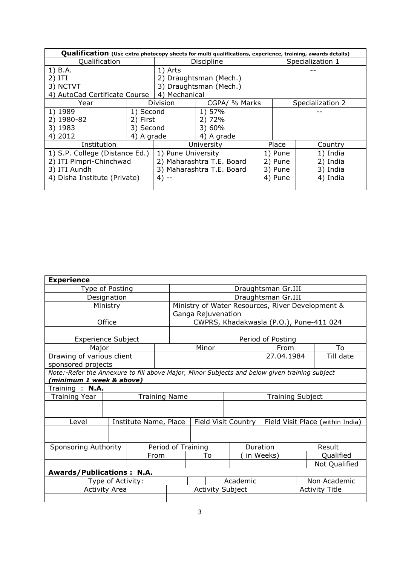| Qualification (Use extra photocopy sheets for multi qualifications, experience, training, awards details) |            |                           |                        |  |                  |                  |  |  |  |
|-----------------------------------------------------------------------------------------------------------|------------|---------------------------|------------------------|--|------------------|------------------|--|--|--|
| Qualification                                                                                             |            | Discipline                |                        |  | Specialization 1 |                  |  |  |  |
| 1) B.A.                                                                                                   |            | 1) Arts                   |                        |  |                  |                  |  |  |  |
| 2) ITI                                                                                                    |            |                           | 2) Draughtsman (Mech.) |  |                  |                  |  |  |  |
| 3) NCTVT                                                                                                  |            |                           | 3) Draughtsman (Mech.) |  |                  |                  |  |  |  |
| 4) AutoCad Certificate Course                                                                             |            | 4) Mechanical             |                        |  |                  |                  |  |  |  |
| Year                                                                                                      |            | Division                  | CGPA/ % Marks          |  |                  | Specialization 2 |  |  |  |
| 1) 1989                                                                                                   | 1) Second  |                           | 1) 57%                 |  |                  |                  |  |  |  |
| 2) 1980-82                                                                                                | 2) First   |                           | 2) 72%                 |  |                  |                  |  |  |  |
| 3) 1983                                                                                                   | 3) Second  |                           | 3) 60%                 |  |                  |                  |  |  |  |
| 4) 2012                                                                                                   | 4) A grade |                           | 4) A grade             |  |                  |                  |  |  |  |
| Institution                                                                                               |            | University                |                        |  | Place            | Country          |  |  |  |
| 1) S.P. College (Distance Ed.)                                                                            |            | 1) Pune University        |                        |  | 1) Pune          | 1) India         |  |  |  |
| 2) ITI Pimpri-Chinchwad                                                                                   |            | 2) Maharashtra T.E. Board |                        |  | 2) Pune          | 2) India         |  |  |  |
| 3) ITI Aundh                                                                                              |            | 3) Maharashtra T.E. Board |                        |  | 3) Pune          | 3) India         |  |  |  |
| 4) Disha Institute (Private)                                                                              |            | 4) --                     |                        |  | 4) Pune          | 4) India         |  |  |  |
|                                                                                                           |            |                           |                        |  |                  |                  |  |  |  |

| <b>Experience</b>                                                                             |                      |                       |                      |                         |          |                         |                   |                       |                                                  |  |
|-----------------------------------------------------------------------------------------------|----------------------|-----------------------|----------------------|-------------------------|----------|-------------------------|-------------------|-----------------------|--------------------------------------------------|--|
| Type of Posting                                                                               |                      |                       |                      | Draughtsman Gr.III      |          |                         |                   |                       |                                                  |  |
| Designation                                                                                   |                      |                       |                      | Draughtsman Gr.III      |          |                         |                   |                       |                                                  |  |
|                                                                                               | Ministry             |                       |                      |                         |          |                         |                   |                       | Ministry of Water Resources, River Development & |  |
|                                                                                               |                      |                       |                      | Ganga Rejuvenation      |          |                         |                   |                       |                                                  |  |
|                                                                                               | Office               |                       |                      |                         |          |                         |                   |                       | CWPRS, Khadakwasla (P.O.), Pune-411 024          |  |
|                                                                                               |                      |                       |                      |                         |          |                         |                   |                       |                                                  |  |
| <b>Experience Subject</b>                                                                     |                      |                       |                      |                         |          |                         | Period of Posting |                       |                                                  |  |
| Major                                                                                         |                      |                       |                      |                         | Minor    |                         | From              |                       | To                                               |  |
| Drawing of various client                                                                     |                      |                       |                      |                         |          |                         | 27.04.1984        |                       | Till date                                        |  |
| sponsored projects                                                                            |                      |                       |                      |                         |          |                         |                   |                       |                                                  |  |
| Note:-Refer the Annexure to fill above Major, Minor Subjects and below given training subject |                      |                       |                      |                         |          |                         |                   |                       |                                                  |  |
| minimum 1 week & above)                                                                       |                      |                       |                      |                         |          |                         |                   |                       |                                                  |  |
| Training : N.A.                                                                               |                      |                       |                      |                         |          |                         |                   |                       |                                                  |  |
| <b>Training Year</b>                                                                          |                      |                       | <b>Training Name</b> |                         |          | <b>Training Subject</b> |                   |                       |                                                  |  |
|                                                                                               |                      |                       |                      |                         |          |                         |                   |                       |                                                  |  |
| Level                                                                                         |                      | Institute Name, Place |                      |                         |          | Field Visit Country     |                   |                       | Field Visit Place (within India)                 |  |
|                                                                                               |                      |                       |                      |                         |          |                         |                   |                       |                                                  |  |
| Sponsoring Authority                                                                          |                      |                       |                      | Period of Training      |          |                         | Duration          |                       | Result                                           |  |
|                                                                                               |                      |                       | From                 |                         | To       |                         | in Weeks)         |                       | Qualified                                        |  |
|                                                                                               |                      |                       |                      |                         |          |                         |                   |                       | Not Qualified                                    |  |
| <b>Awards/Publications: N.A.</b>                                                              |                      |                       |                      |                         |          |                         |                   |                       |                                                  |  |
| Type of Activity:                                                                             |                      |                       |                      |                         | Academic |                         |                   |                       | Non Academic                                     |  |
|                                                                                               | <b>Activity Area</b> |                       |                      | <b>Activity Subject</b> |          |                         |                   | <b>Activity Title</b> |                                                  |  |
|                                                                                               |                      |                       |                      |                         |          |                         |                   |                       |                                                  |  |